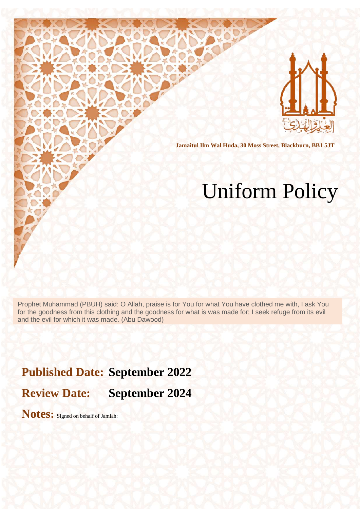

**Jamaitul Ilm Wal Huda, 30 Moss Street, Blackburn, BB1 5JT**

# Uniform Policy

Prophet Muhammad (PBUH) said: O Allah, praise is for You for what You have clothed me with, I ask You for the goodness from this clothing and the goodness for what is was made for; I seek refuge from its evil and the evil for which it was made. (Abu Dawood)

**Published Date: September 2022**

**Review Date: September 2024**

**Notes:** Signed on behalf of Jamiah: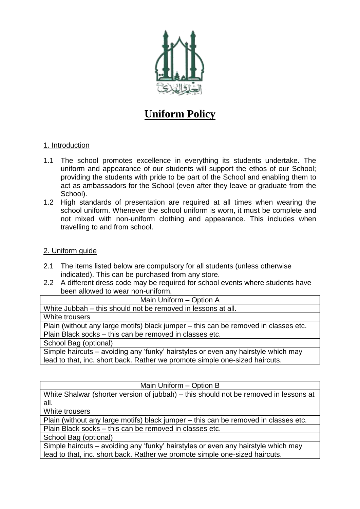

## **Uniform Policy**

#### 1. Introduction

- 1.1 The school promotes excellence in everything its students undertake. The uniform and appearance of our students will support the ethos of our School; providing the students with pride to be part of the School and enabling them to act as ambassadors for the School (even after they leave or graduate from the School).
- 1.2 High standards of presentation are required at all times when wearing the school uniform. Whenever the school uniform is worn, it must be complete and not mixed with non-uniform clothing and appearance. This includes when travelling to and from school.

#### 2. Uniform guide

- 2.1 The items listed below are compulsory for all students (unless otherwise indicated). This can be purchased from any store.
- 2.2 A different dress code may be required for school events where students have been allowed to wear non-uniform.

| Main Uniform - Option A                                                             |
|-------------------------------------------------------------------------------------|
| White Jubbah – this should not be removed in lessons at all.                        |
| White trousers                                                                      |
| Plain (without any large motifs) black jumper – this can be removed in classes etc. |
| Plain Black socks - this can be removed in classes etc.                             |
| School Bag (optional)                                                               |
| Simple haircuts – avoiding any 'funky' hairstyles or even any hairstyle which may   |
| lead to that, inc. short back. Rather we promote simple one-sized haircuts.         |

#### Main Uniform – Option B

White Shalwar (shorter version of jubbah) – this should not be removed in lessons at all.

White trousers

Plain (without any large motifs) black jumper – this can be removed in classes etc. Plain Black socks – this can be removed in classes etc.

School Bag (optional)

Simple haircuts – avoiding any 'funky' hairstyles or even any hairstyle which may lead to that, inc. short back. Rather we promote simple one-sized haircuts.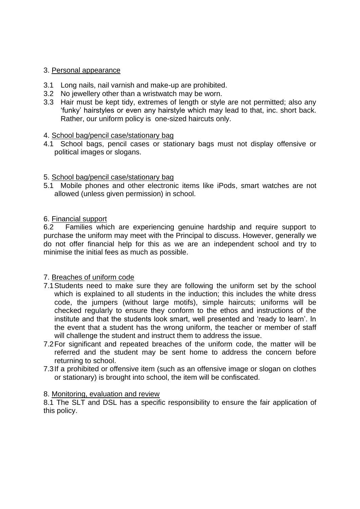#### 3. Personal appearance

- 3.1 Long nails, nail varnish and make-up are prohibited.
- 3.2 No jewellery other than a wristwatch may be worn.
- 3.3 Hair must be kept tidy, extremes of length or style are not permitted; also any 'funky' hairstyles or even any hairstyle which may lead to that, inc. short back. Rather, our uniform policy is one-sized haircuts only.

#### 4. School bag/pencil case/stationary bag

4.1 School bags, pencil cases or stationary bags must not display offensive or political images or slogans.

#### 5. School bag/pencil case/stationary bag

5.1 Mobile phones and other electronic items like iPods, smart watches are not allowed (unless given permission) in school.

#### 6. Financial support

6.2 Families which are experiencing genuine hardship and require support to purchase the uniform may meet with the Principal to discuss. However, generally we do not offer financial help for this as we are an independent school and try to minimise the initial fees as much as possible.

#### 7. Breaches of uniform code

- 7.1Students need to make sure they are following the uniform set by the school which is explained to all students in the induction; this includes the white dress code, the jumpers (without large motifs), simple haircuts; uniforms will be checked regularly to ensure they conform to the ethos and instructions of the institute and that the students look smart, well presented and 'ready to learn'. In the event that a student has the wrong uniform, the teacher or member of staff will challenge the student and instruct them to address the issue.
- 7.2For significant and repeated breaches of the uniform code, the matter will be referred and the student may be sent home to address the concern before returning to school.
- 7.3If a prohibited or offensive item (such as an offensive image or slogan on clothes or stationary) is brought into school, the item will be confiscated.

#### 8. Monitoring, evaluation and review

8.1 The SLT and DSL has a specific responsibility to ensure the fair application of this policy.